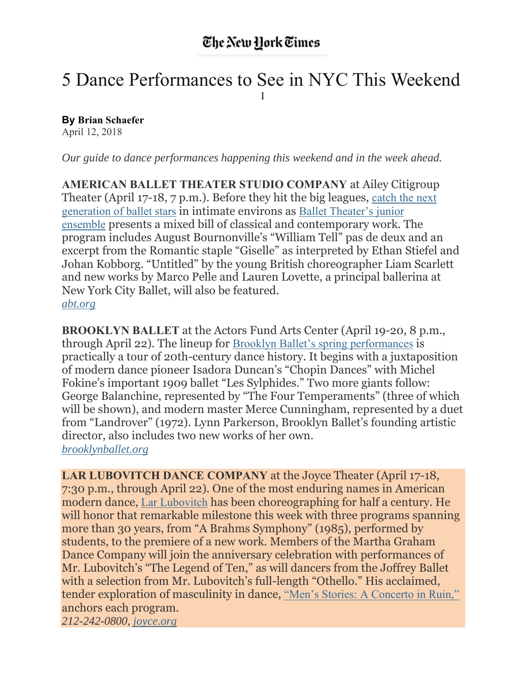## 5 Dance Performances to See in NYC This Weekend I

**By Brian Schaefer** April 12, 2018

*Our guide to dance performances happening this weekend and in the week ahead.*

**AMERICAN BALLET THEATER STUDIO COMPANY** at Ailey Citigroup Theater (April 17-18, 7 p.m.). Before they hit the big leagues, catch the next generation of ballet stars in intimate environs as Ballet Theater's junior ensemble presents a mixed bill of classical and contemporary work. The program includes August Bournonville's "William Tell" pas de deux and an excerpt from the Romantic staple "Giselle" as interpreted by Ethan Stiefel and Johan Kobborg. "Untitled" by the young British choreographer Liam Scarlett and new works by Marco Pelle and Lauren Lovette, a principal ballerina at New York City Ballet, will also be featured.

*abt.org*

**BROOKLYN BALLET** at the Actors Fund Arts Center (April 19-20, 8 p.m., through April 22). The lineup for Brooklyn Ballet's spring performances is practically a tour of 20th-century dance history. It begins with a juxtaposition of modern dance pioneer Isadora Duncan's "Chopin Dances" with Michel Fokine's important 1909 ballet "Les Sylphides." Two more giants follow: George Balanchine, represented by "The Four Temperaments" (three of which will be shown), and modern master Merce Cunningham, represented by a duet from "Landrover" (1972). Lynn Parkerson, Brooklyn Ballet's founding artistic director, also includes two new works of her own. *brooklynballet.org*

**LAR LUBOVITCH DANCE COMPANY** at the Joyce Theater (April 17-18, 7:30 p.m., through April 22). One of the most enduring names in American modern dance, Lar Lubovitch has been choreographing for half a century. He will honor that remarkable milestone this week with three programs spanning more than 30 years, from "A Brahms Symphony" (1985), performed by students, to the premiere of a new work. Members of the Martha Graham Dance Company will join the anniversary celebration with performances of Mr. Lubovitch's "The Legend of Ten," as will dancers from the Joffrey Ballet with a selection from Mr. Lubovitch's full-length "Othello." His acclaimed, tender exploration of masculinity in dance, "Men's Stories: A Concerto in Ruin," anchors each program. *212-242-0800, joyce.org*